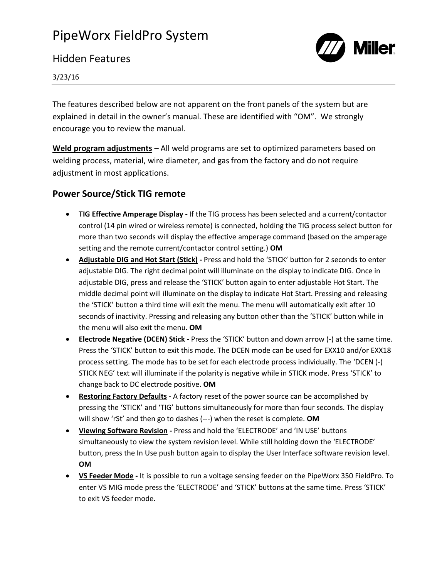# PipeWorx FieldPro System

## Hidden Features



#### 3/23/16

The features described below are not apparent on the front panels of the system but are explained in detail in the owner's manual. These are identified with "OM". We strongly encourage you to review the manual.

**Weld program adjustments** – All weld programs are set to optimized parameters based on welding process, material, wire diameter, and gas from the factory and do not require adjustment in most applications.

### **Power Source/Stick TIG remote**

- **TIG Effective Amperage Display -** If the TIG process has been selected and a current/contactor control (14 pin wired or wireless remote) is connected, holding the TIG process select button for more than two seconds will display the effective amperage command (based on the amperage setting and the remote current/contactor control setting.) **OM**
- **Adjustable DIG and Hot Start (Stick) -** Press and hold the 'STICK' button for 2 seconds to enter adjustable DIG. The right decimal point will illuminate on the display to indicate DIG. Once in adjustable DIG, press and release the 'STICK' button again to enter adjustable Hot Start. The middle decimal point will illuminate on the display to indicate Hot Start. Pressing and releasing the 'STICK' button a third time will exit the menu. The menu will automatically exit after 10 seconds of inactivity. Pressing and releasing any button other than the 'STICK' button while in the menu will also exit the menu. **OM**
- **Electrode Negative (DCEN) Stick -** Press the 'STICK' button and down arrow (-) at the same time. Press the 'STICK' button to exit this mode. The DCEN mode can be used for EXX10 and/or EXX18 process setting. The mode has to be set for each electrode process individually. The 'DCEN (-) STICK NEG' text will illuminate if the polarity is negative while in STICK mode. Press 'STICK' to change back to DC electrode positive. **OM**
- **Restoring Factory Defaults -** A factory reset of the power source can be accomplished by pressing the 'STICK' and 'TIG' buttons simultaneously for more than four seconds. The display will show 'rSt' and then go to dashes (---) when the reset is complete. **OM**
- **Viewing Software Revision -** Press and hold the 'ELECTRODE' and 'IN USE' buttons simultaneously to view the system revision level. While still holding down the 'ELECTRODE' button, press the In Use push button again to display the User Interface software revision level. **OM**
- **VS Feeder Mode -** It is possible to run a voltage sensing feeder on the PipeWorx 350 FieldPro. To enter VS MIG mode press the 'ELECTRODE' and 'STICK' buttons at the same time. Press 'STICK' to exit VS feeder mode.